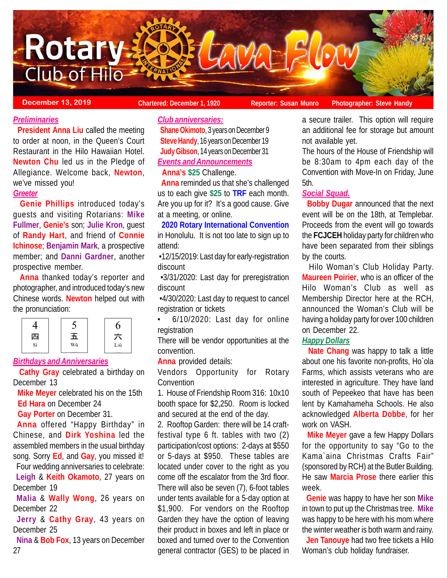

**December 13, 2019 Chartered: December 1, 1920 Reporter: Susan Munro** Photographer: Steve Handy

# *Preliminaries*

 **President Anna Liu** called the meeting to order at noon, in the Queen's Court Restaurant in the Hilo Hawaiian Hotel. **Newton Chu** led us in the Pledge of Allegiance. Welcome back, **Newton**, we've missed you!

# *Greeter*

 **Genie Phillips** introduced today's guests and visiting Rotarians: **Mike Fullmer**, **Genie's** son; **Julie Kron**, guest of **Randy Hart**, and friend of **Connie Ichinose**; **Benjamin Mark**, a prospective member; and **Danni Gardner**, another prospective member.

 **Anna** thanked today's reporter and photographer, and introduced today's new Chinese words. **Newton** helped out with the pronunciation:

|    |        | O   |
|----|--------|-----|
| 四  | L<br>ப | ÷   |
| Sì | Wŭ     | Liù |

# *Birthdays and Anniversaries*

 **Cathy Gray** celebrated a birthday on December 13

 **Mike Meyer** celebrated his on the 15th  **Ed Hara** on December 24

 **Gay Porter** on December 31.

**Anna** offered "Happy Birthday" in Chinese, and **Dirk Yoshina** led the assembled members in the usual birthday song. Sorry **Ed**, and **Gay**, you missed it! Four wedding anniversaries to celebrate:

**Leigh** & **Keith Okamoto**, 27 years on December 19

**Malia** & **Wally Wong**, 26 years on December 22

**Jerry** & **Cathy Gray**, 43 years on December 25

 **Nina** & **Bob Fox**, 13 years on December 27

## *Club anniversaries:*

 **Shane Okimoto**, 3 years on December 9 **Steve Handy**, 16 years on December 19 **Judy Gibson**, 14 years on December 31 *Events and Announcements*

# **Anna's \$25** Challenge.

 **Anna** reminded us that she's challenged us to each give **\$25** to **TRF** each month. Are you up for it? It's a good cause. Give at a meeting, or online.

## **2020 Rotary International Convention** in Honolulu. It is not too late to sign up to attend:

 •12/15/2019: Last day for early-registration discount

 •3/31/2020: Last day for preregistration discount

 •4/30/2020: Last day to request to cancel registration or tickets

• 6/10/2020: Last day for online registration

There will be vendor opportunities at the convention.

**Anna** provided details:

Vendors Opportunity for Rotary Convention

1. House of Friendship Room 316: 10x10 booth space for \$2,250. Room is locked and secured at the end of the day.

2. Rooftop Garden: there will be 14 craftfestival type 6 ft. tables with two (2) participation/cost options: 2-days at \$550 or 5-days at \$950. These tables are located under cover to the right as you come off the escalator from the 3rd floor. There will also be seven (7), 6-foot tables under tents available for a 5-day option at \$1,900. For vendors on the Rooftop Garden they have the option of leaving their product in boxes and left in place or boxed and turned over to the Convention general contractor (GES) to be placed in a secure trailer. This option will require an additional fee for storage but amount not available yet.

The hours of the House of Friendship will be 8:30am to 4pm each day of the Convention with Move-In on Friday, June 5th.

# *Social Squad.*

 **Bobby Dugar** announced that the next event will be on the 18th, at Templebar. Proceeds from the event will go towards the **FCJCEH** holiday party for children who have been separated from their siblings by the courts.

 Hilo Woman's Club Holiday Party. **Maureen Poirier**, who is an officer of the Hilo Woman's Club as well as Membership Director here at the RCH, announced the Woman's Club will be having a holiday party for over 100 children on December 22.

# *Happy Dollars*

 **Nate Chang** was happy to talk a little about one his favorite non-profits, Ho`ola Farms, which assists veterans who are interested in agriculture. They have land south of Pepeekeo that have has been lent by Kamahameha Schools. He also acknowledged **Alberta Dobbe**, for her work on VASH.

 **Mike Meyer** gave a few Happy Dollars for the opportunity to say "Go to the Kama`aina Christmas Crafts Fair" (sponsored by RCH) at the Butler Building. He saw **Marcia Prose** there earlier this week.

 **Genie** was happy to have her son **Mike** in town to put up the Christmas tree. **Mike** was happy to be here with his mom where the winter weather is both warm and rainy.

 **Jen Tanouye** had two free tickets a Hilo Woman's club holiday fundraiser.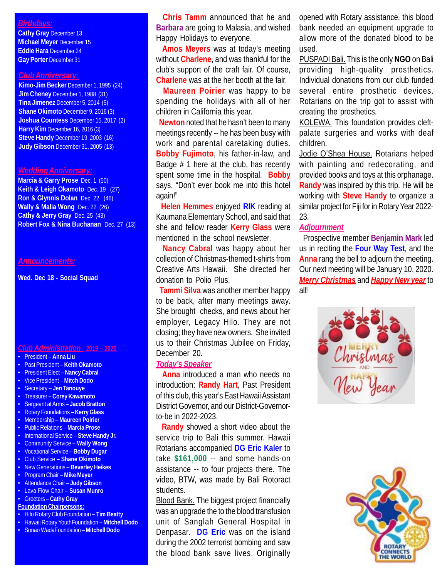## *Birthdays:*

**Cathy Gray** December 13 **Michael Meyer** December 15 **Eddie Hara** December 24 **Gay Porter** December 31

#### *Club Anniversary:*

**Kimo-Jim Becker** December 1, 1995 (24) **Jim Cheney** December 1, 1988 (31) **Tina Jimenez** December 5, 2014 (5) **Shane Okimoto** December 9, 2016 (3) **Joshua Countess** December 15, 2017 (2) **Harry Kim** December 16, 2016 (3) **Steve Handy** December 19, 2003 (16) **Judy Gibson** December 31, 2005 (13)

#### *Wedding Anniversary:*

**Marcia & Garry Prose** Dec. 1 (50) **Keith & Leigh Okamoto** Dec. 19 (27) **Ron & Glynnis Dolan** Dec. 22 (46) **Wally & Malia Wong** Dec. 22 (26) **Cathy & Jerry Gray** Dec. 25 (43) **Robert Fox & Nina Buchanan** Dec. 27 (13)

#### *Announcements:*

**Wed. Dec 18 - Social Squad**

#### *Club Administration* **2019 – 2020**

- President **Anna Liu**
- Past President **Keith Okamoto**
- President Elect **Nancy Cabral**
- Vice President **Mitch Dodo**
- Secretary **Jen Tanouye**
- Treasurer **Corey Kawamoto**
- Sergeant at Arms – **Jacob Bratton**
- Rotary Foundations **Kerry Glass**
- Membership **Maureen Poirier**
- Public Relations **Marcia Prose**
- International Service **Steve Handy Jr.**
- Community Service **Wally Wong**
- Vocational Service **Bobby Dugar**
- Club Service **Shane Okimoto**
- New Generations **Beverley Heikes** • Program Chair – **Mike Meyer**
- Attendance Chair **Judy Gibson**
- Lava Flow Chair **Susan Munro**
- Greeters **Cathy Gray**
- **Foundation Chairpersons:**
- Hilo Rotary Club Foundation **Tim Beatty**
- Hawaii Rotary YouthFoundation **Mitchell Dodo**
- Sunao WadaFoundation **Mitchell Dodo**

 **Chris Tamm** announced that he and **Barbara** are going to Malasia, and wished Happy Holidays to everyone.

 **Amos Meyers** was at today's meeting without **Charlene**, and was thankful for the club's support of the craft fair. Of course, **Charlene** was at the her booth at the fair.

 **Maureen Poirier** was happy to be spending the holidays with all of her children in California this year.

 **Newton** noted that he hasn't been to many meetings recently -- he has been busy with work and parental caretaking duties. **Bobby Fujimoto**, his father-in-law, and Badge # 1 here at the club, has recently spent some time in the hospital. **Bobby** says, "Don't ever book me into this hotel again!"

 **Helen Hemmes** enjoyed **RIK** reading at Kaumana Elementary School, and said that she and fellow reader **Kerry Glass** were mentioned in the school newsletter.

 **Nancy Cabral** was happy about her collection of Christmas-themed t-shirts from Creative Arts Hawaii. She directed her donation to Polio Plus.

 **Tammi Silva** was another member happy to be back, after many meetings away. She brought checks, and news about her employer, Legacy Hilo. They are not closing; they have new owners. She invited us to their Christmas Jubilee on Friday, December 20.

#### *Today's Speaker*

 **Anna** introduced a man who needs no introduction: **Randy Hart**, Past President of this club, this year's East Hawaii Assistant District Governor, and our District-Governorto-be in 2022-2023.

 **Randy** showed a short video about the service trip to Bali this summer. Hawaii Rotarians accompanied **DG Eric Kaler** to take **\$161,000** -- and some hands-on assistance -- to four projects there. The video, BTW, was made by Bali Rotoract students.

Blood Bank. The biggest project financially was an upgrade the to the blood transfusion unit of Sanglah General Hospital in Denpasar. **DG Eric** was on the island during the 2002 terrorist bombing and saw the blood bank save lives. Originally

opened with Rotary assistance, this blood bank needed an equipment upgrade to allow more of the donated blood to be used.

PUSPADI Bali. This is the only **NGO** on Bali providing high-quality prosthetics. Individual donations from our club funded several entire prosthetic devices. Rotarians on the trip got to assist with creating the prosthetics.

KOLEWA. This foundation provides cleftpalate surgeries and works with deaf children.

Jodie O'Shea House. Rotarians helped with painting and redecorating, and provided books and toys at this orphanage. **Randy** was inspired by this trip. He will be working with **Steve Handy** to organize a similar project for Fiji for in Rotary Year 2022- 23.

## *Adjournment*

 Prospective member **Benjamin Mark** led us in reciting the **Four Way Test**, and the **Anna** rang the bell to adjourn the meeting. Our next meeting will be January 10, 2020. *Merry Christmas* and *Happy New year* to all!